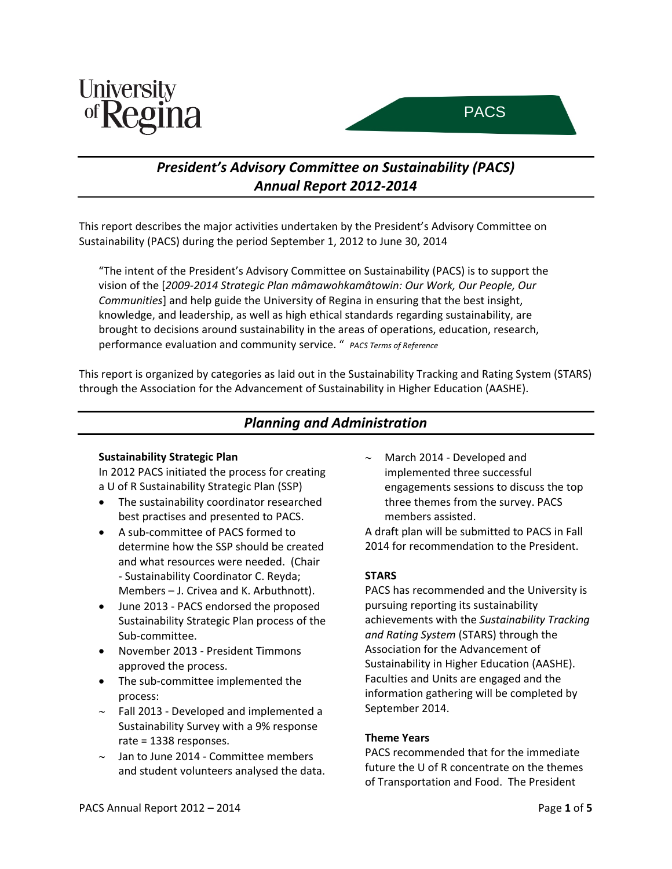



# *President's Advisory Committee on Sustainability (PACS) Annual Report 2012‐2014*

This report describes the major activities undertaken by the President's Advisory Committee on Sustainability (PACS) during the period September 1, 2012 to June 30, 2014

"The intent of the President's Advisory Committee on Sustainability (PACS) is to support the vision of the [*2009‐2014 Strategic Plan mâmawohkamâtowin: Our Work, Our People, Our Communities*] and help guide the University of Regina in ensuring that the best insight, knowledge, and leadership, as well as high ethical standards regarding sustainability, are brought to decisions around sustainability in the areas of operations, education, research, performance evaluation and community service. " *PACS Terms of Reference*

This report is organized by categories as laid out in the Sustainability Tracking and Rating System (STARS) through the Association for the Advancement of Sustainability in Higher Education (AASHE).

## *Planning and Administration*

## **Sustainability Strategic Plan**

In 2012 PACS initiated the process for creating a U of R Sustainability Strategic Plan (SSP)

- The sustainability coordinator researched best practises and presented to PACS.
- A sub‐committee of PACS formed to determine how the SSP should be created and what resources were needed. (Chair ‐ Sustainability Coordinator C. Reyda; Members – J. Crivea and K. Arbuthnott).
- June 2013 ‐ PACS endorsed the proposed Sustainability Strategic Plan process of the Sub‐committee.
- November 2013 ‐ President Timmons approved the process.
- The sub‐committee implemented the process:
- ∼ Fall 2013 ‐ Developed and implemented a Sustainability Survey with a 9% response rate = 1338 responses.
- ∼ Jan to June 2014 ‐ Committee members and student volunteers analysed the data.

∼ March 2014 ‐ Developed and implemented three successful engagements sessions to discuss the top three themes from the survey. PACS members assisted.

A draft plan will be submitted to PACS in Fall 2014 for recommendation to the President.

## **STARS**

PACS has recommended and the University is pursuing reporting its sustainability achievements with the *Sustainability Tracking and Rating System* (STARS) through the Association for the Advancement of Sustainability in Higher Education (AASHE). Faculties and Units are engaged and the information gathering will be completed by September 2014.

## **Theme Years**

PACS recommended that for the immediate future the U of R concentrate on the themes of Transportation and Food. The President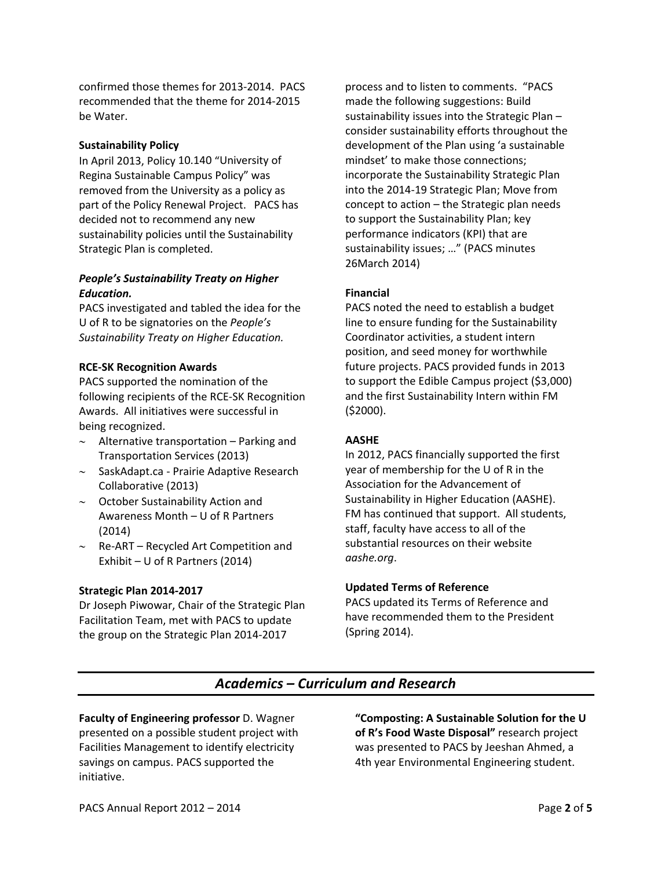confirmed those themes for 2013‐2014. PACS recommended that the theme for 2014‐2015 be Water.

### **Sustainability Policy**

In April 2013, Policy 10.140 "University of Regina Sustainable Campus Policy" was removed from the University as a policy as part of the Policy Renewal Project. PACS has decided not to recommend any new sustainability policies until the Sustainability Strategic Plan is completed.

### *People's Sustainability Treaty on Higher Education.*

PACS investigated and tabled the idea for the U of R to be signatories on the *People's Sustainability Treaty on Higher Education.* 

### **RCE‐SK Recognition Awards**

PACS supported the nomination of the following recipients of the RCE‐SK Recognition Awards. All initiatives were successful in being recognized.

- ∼ Alternative transportation Parking and Transportation Services (2013)
- ∼ SaskAdapt.ca ‐ Prairie Adaptive Research Collaborative (2013)
- ∼ October Sustainability Action and Awareness Month – U of R Partners (2014)
- ∼ Re‐ART Recycled Art Competition and Exhibit – U of R Partners (2014)

### **Strategic Plan 2014‐2017**

Dr Joseph Piwowar, Chair of the Strategic Plan Facilitation Team, met with PACS to update the group on the Strategic Plan 2014‐2017

process and to listen to comments. "PACS made the following suggestions: Build sustainability issues into the Strategic Plan – consider sustainability efforts throughout the development of the Plan using 'a sustainable mindset' to make those connections; incorporate the Sustainability Strategic Plan into the 2014‐19 Strategic Plan; Move from concept to action – the Strategic plan needs to support the Sustainability Plan; key performance indicators (KPI) that are sustainability issues; …" (PACS minutes 26March 2014)

### **Financial**

PACS noted the need to establish a budget line to ensure funding for the Sustainability Coordinator activities, a student intern position, and seed money for worthwhile future projects. PACS provided funds in 2013 to support the Edible Campus project (\$3,000) and the first Sustainability Intern within FM (\$2000).

## **AASHE**

In 2012, PACS financially supported the first year of membership for the U of R in the Association for the Advancement of Sustainability in Higher Education (AASHE). FM has continued that support. All students, staff, faculty have access to all of the substantial resources on their website *aashe.org*.

### **Updated Terms of Reference**

PACS updated its Terms of Reference and have recommended them to the President (Spring 2014).

## *Academics – Curriculum and Research*

**Faculty of Engineering professor** D. Wagner presented on a possible student project with Facilities Management to identify electricity savings on campus. PACS supported the initiative.

**"Composting: A Sustainable Solution for the U of R's Food Waste Disposal"** research project was presented to PACS by Jeeshan Ahmed, a 4th year Environmental Engineering student.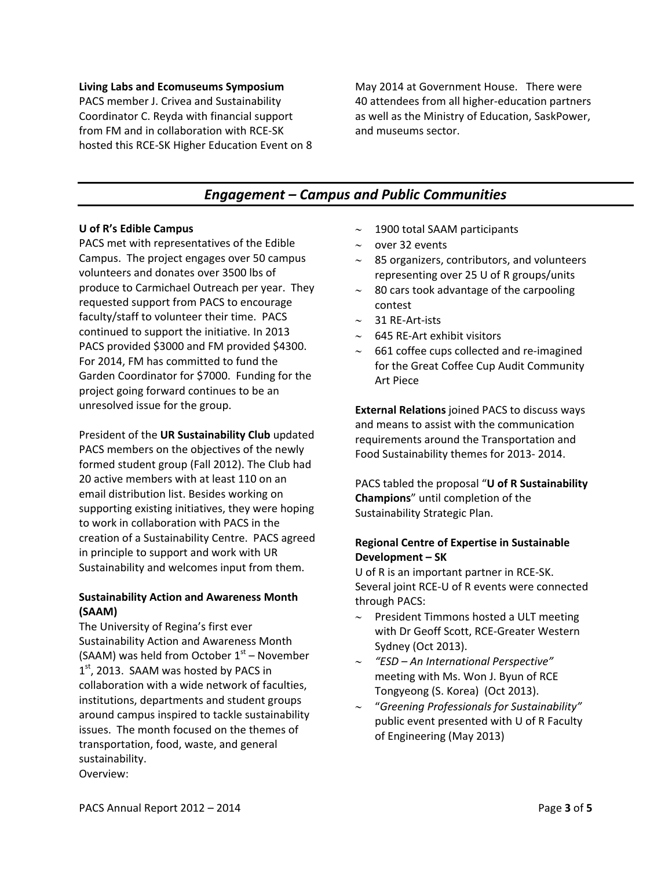#### **Living Labs and Ecomuseums Symposium**

PACS member J. Crivea and Sustainability Coordinator C. Reyda with financial support from FM and in collaboration with RCE‐SK hosted this RCE‐SK Higher Education Event on 8

May 2014 at Government House. There were 40 attendees from all higher‐education partners as well as the Ministry of Education, SaskPower, and museums sector.

# *Engagement – Campus and Public Communities*

### **U of R's Edible Campus**

PACS met with representatives of the Edible Campus. The project engages over 50 campus volunteers and donates over 3500 lbs of produce to Carmichael Outreach per year. They requested support from PACS to encourage faculty/staff to volunteer their time. PACS continued to support the initiative. In 2013 PACS provided \$3000 and FM provided \$4300. For 2014, FM has committed to fund the Garden Coordinator for \$7000. Funding for the project going forward continues to be an unresolved issue for the group.

President of the **UR Sustainability Club** updated PACS members on the objectives of the newly formed student group (Fall 2012). The Club had 20 active members with at least 110 on an email distribution list. Besides working on supporting existing initiatives, they were hoping to work in collaboration with PACS in the creation of a Sustainability Centre. PACS agreed in principle to support and work with UR Sustainability and welcomes input from them.

## **Sustainability Action and Awareness Month (SAAM)**

The University of Regina's first ever Sustainability Action and Awareness Month (SAAM) was held from October  $1<sup>st</sup>$  – November  $1<sup>st</sup>$ , 2013. SAAM was hosted by PACS in collaboration with a wide network of faculties, institutions, departments and student groups around campus inspired to tackle sustainability issues. The month focused on the themes of transportation, food, waste, and general sustainability. Overview:

- ∼ 1900 total SAAM participants
- ∼ over 32 events
- ∼ 85 organizers, contributors, and volunteers representing over 25 U of R groups/units
- ∼ 80 cars took advantage of the carpooling contest
- ∼ 31 RE‐Art‐ists
- ∼ 645 RE‐Art exhibit visitors
- ∼ 661 coffee cups collected and re‐imagined for the Great Coffee Cup Audit Community Art Piece

**External Relations** joined PACS to discuss ways and means to assist with the communication requirements around the Transportation and Food Sustainability themes for 2013‐ 2014.

PACS tabled the proposal "**U of R Sustainability Champions**" until completion of the Sustainability Strategic Plan.

## **Regional Centre of Expertise in Sustainable Development – SK**

U of R is an important partner in RCE‐SK. Several joint RCE‐U of R events were connected through PACS:

- ∼ President Timmons hosted a ULT meeting with Dr Geoff Scott, RCE‐Greater Western Sydney (Oct 2013).
- ∼ *"ESD – An International Perspective"* meeting with Ms. Won J. Byun of RCE Tongyeong (S. Korea) (Oct 2013).
- ∼ "*Greening Professionals for Sustainability"* public event presented with U of R Faculty of Engineering (May 2013)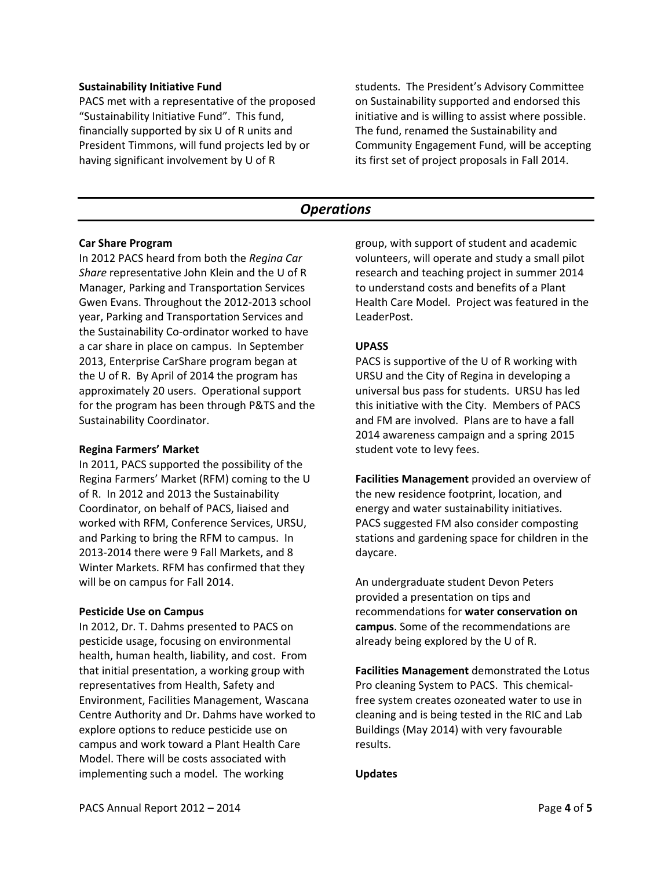#### **Sustainability Initiative Fund**

PACS met with a representative of the proposed "Sustainability Initiative Fund". This fund, financially supported by six U of R units and President Timmons, will fund projects led by or having significant involvement by U of R

students. The President's Advisory Committee on Sustainability supported and endorsed this initiative and is willing to assist where possible. The fund, renamed the Sustainability and Community Engagement Fund, will be accepting its first set of project proposals in Fall 2014.

## *Operations*

### **Car Share Program**

In 2012 PACS heard from both the *Regina Car Share* representative John Klein and the U of R Manager, Parking and Transportation Services Gwen Evans. Throughout the 2012‐2013 school year, Parking and Transportation Services and the Sustainability Co‐ordinator worked to have a car share in place on campus. In September 2013, Enterprise CarShare program began at the U of R. By April of 2014 the program has approximately 20 users. Operational support for the program has been through P&TS and the Sustainability Coordinator.

### **Regina Farmers' Market**

In 2011, PACS supported the possibility of the Regina Farmers' Market (RFM) coming to the U of R. In 2012 and 2013 the Sustainability Coordinator, on behalf of PACS, liaised and worked with RFM, Conference Services, URSU, and Parking to bring the RFM to campus. In 2013‐2014 there were 9 Fall Markets, and 8 Winter Markets. RFM has confirmed that they will be on campus for Fall 2014.

### **Pesticide Use on Campus**

In 2012, Dr. T. Dahms presented to PACS on pesticide usage, focusing on environmental health, human health, liability, and cost. From that initial presentation, a working group with representatives from Health, Safety and Environment, Facilities Management, Wascana Centre Authority and Dr. Dahms have worked to explore options to reduce pesticide use on campus and work toward a Plant Health Care Model. There will be costs associated with implementing such a model. The working

group, with support of student and academic volunteers, will operate and study a small pilot research and teaching project in summer 2014 to understand costs and benefits of a Plant Health Care Model. Project was featured in the LeaderPost.

## **UPASS**

PACS is supportive of the U of R working with URSU and the City of Regina in developing a universal bus pass for students. URSU has led this initiative with the City. Members of PACS and FM are involved. Plans are to have a fall 2014 awareness campaign and a spring 2015 student vote to levy fees.

**Facilities Management** provided an overview of the new residence footprint, location, and energy and water sustainability initiatives. PACS suggested FM also consider composting stations and gardening space for children in the daycare.

An undergraduate student Devon Peters provided a presentation on tips and recommendations for **water conservation on campus**. Some of the recommendations are already being explored by the U of R.

**Facilities Management** demonstrated the Lotus Pro cleaning System to PACS. This chemical‐ free system creates ozoneated water to use in cleaning and is being tested in the RIC and Lab Buildings (May 2014) with very favourable results.

## **Updates**